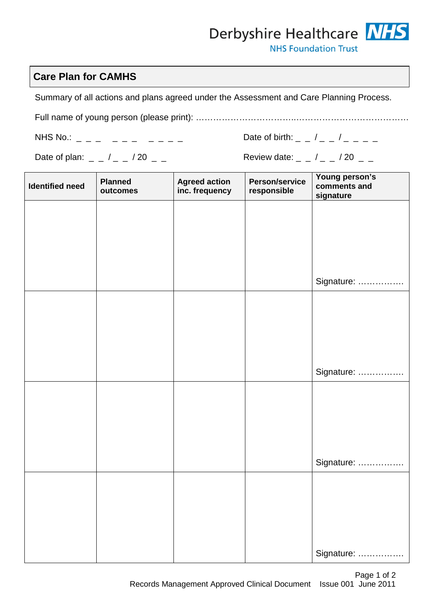## Derbyshire Healthcare NHS

**NHS Foundation Trust** 

## **Care Plan for CAMHS**

Summary of all actions and plans agreed under the Assessment and Care Planning Process.

Full name of young person (please print): ……………………………..…………………………………

NHS No.: \_ \_ \_ \_ \_ \_ \_ \_ \_ \_ Date of birth: \_ \_ / \_ \_ / \_ \_ \_ \_

| Date of birth: |  |  |
|----------------|--|--|
|----------------|--|--|

Date of plan: \_ \_ / \_ \_ / 20 \_ \_ Review date: \_ \_ / \_ \_ / 20 \_ \_

| <b>Identified need</b> | <b>Planned</b><br>outcomes | <b>Agreed action</b><br>inc. frequency | Person/service<br>responsible | Young person's<br>comments and<br>signature |
|------------------------|----------------------------|----------------------------------------|-------------------------------|---------------------------------------------|
|                        |                            |                                        |                               |                                             |
|                        |                            |                                        |                               |                                             |
|                        |                            |                                        |                               |                                             |
|                        |                            |                                        |                               | Signature:                                  |
|                        |                            |                                        |                               |                                             |
|                        |                            |                                        |                               |                                             |
|                        |                            |                                        |                               |                                             |
|                        |                            |                                        |                               | Signature:                                  |
|                        |                            |                                        |                               |                                             |
|                        |                            |                                        |                               |                                             |
|                        |                            |                                        |                               |                                             |
|                        |                            |                                        |                               | Signature:                                  |
|                        |                            |                                        |                               |                                             |
|                        |                            |                                        |                               |                                             |
|                        |                            |                                        |                               |                                             |
|                        |                            |                                        |                               | Signature:                                  |